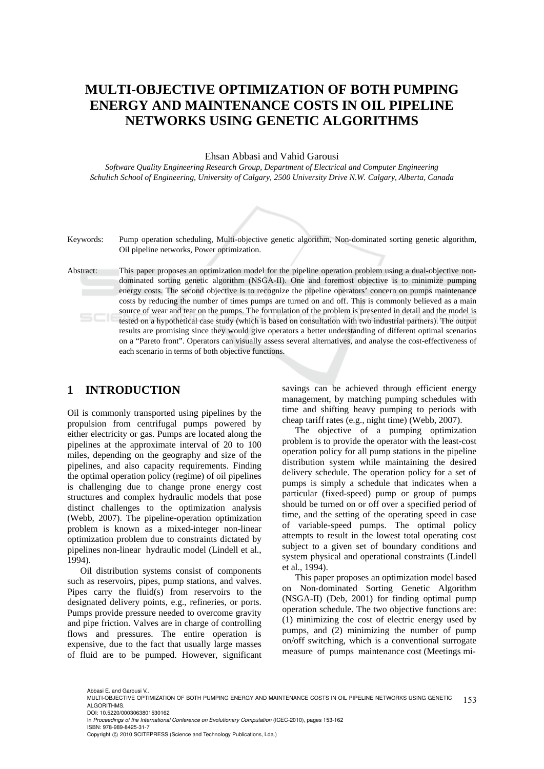# **MULTI-OBJECTIVE OPTIMIZATION OF BOTH PUMPING ENERGY AND MAINTENANCE COSTS IN OIL PIPELINE NETWORKS USING GENETIC ALGORITHMS**

Ehsan Abbasi and Vahid Garousi

*Software Quality Engineering Research Group, Department of Electrical and Computer Engineering Schulich School of Engineering, University of Calgary, 2500 University Drive N.W. Calgary, Alberta, Canada* 



Keywords: Pump operation scheduling, Multi-objective genetic algorithm, Non-dominated sorting genetic algorithm, Oil pipeline networks, Power optimization.

Abstract: This paper proposes an optimization model for the pipeline operation problem using a dual-objective nondominated sorting genetic algorithm (NSGA-II). One and foremost objective is to minimize pumping energy costs. The second objective is to recognize the pipeline operators' concern on pumps maintenance costs by reducing the number of times pumps are turned on and off. This is commonly believed as a main source of wear and tear on the pumps. The formulation of the problem is presented in detail and the model is tested on a hypothetical case study (which is based on consultation with two industrial partners). The output results are promising since they would give operators a better understanding of different optimal scenarios on a "Pareto front". Operators can visually assess several alternatives, and analyse the cost-effectiveness of each scenario in terms of both objective functions.

## **1 INTRODUCTION**

Oil is commonly transported using pipelines by the propulsion from centrifugal pumps powered by either electricity or gas. Pumps are located along the pipelines at the approximate interval of 20 to 100 miles, depending on the geography and size of the pipelines, and also capacity requirements. Finding the optimal operation policy (regime) of oil pipelines is challenging due to change prone energy cost structures and complex hydraulic models that pose distinct challenges to the optimization analysis (Webb, 2007). The pipeline-operation optimization problem is known as a mixed-integer non-linear optimization problem due to constraints dictated by pipelines non-linear hydraulic model (Lindell et al., 1994).

Oil distribution systems consist of components such as reservoirs, pipes, pump stations, and valves. Pipes carry the fluid(s) from reservoirs to the designated delivery points, e.g., refineries, or ports. Pumps provide pressure needed to overcome gravity and pipe friction. Valves are in charge of controlling flows and pressures. The entire operation is expensive, due to the fact that usually large masses of fluid are to be pumped. However, significant

savings can be achieved through efficient energy management, by matching pumping schedules with time and shifting heavy pumping to periods with cheap tariff rates (e.g., night time) (Webb, 2007).

The objective of a pumping optimization problem is to provide the operator with the least-cost operation policy for all pump stations in the pipeline distribution system while maintaining the desired delivery schedule. The operation policy for a set of pumps is simply a schedule that indicates when a particular (fixed-speed) pump or group of pumps should be turned on or off over a specified period of time, and the setting of the operating speed in case of variable-speed pumps. The optimal policy attempts to result in the lowest total operating cost subject to a given set of boundary conditions and system physical and operational constraints (Lindell et al., 1994).

This paper proposes an optimization model based on Non-dominated Sorting Genetic Algorithm (NSGA-II) (Deb, 2001) for finding optimal pump operation schedule. The two objective functions are: (1) minimizing the cost of electric energy used by pumps, and (2) minimizing the number of pump on/off switching, which is a conventional surrogate measure of pumps maintenance cost (Meetings mi-

Abbasi E. and Garousi V..

In *Proceedings of the International Conference on Evolutionary Computation* (ICEC-2010), pages 153-162 ISBN: 978-989-8425-31-7

<sup>153</sup> MULTI-OBJECTIVE OPTIMIZATION OF BOTH PUMPING ENERGY AND MAINTENANCE COSTS IN OIL PIPELINE NETWORKS USING GENETIC ALGORITHMS. DOI: 10.5220/0003063801530162

Copyright © 2010 SCITEPRESS (Science and Technology Publications, Lda.)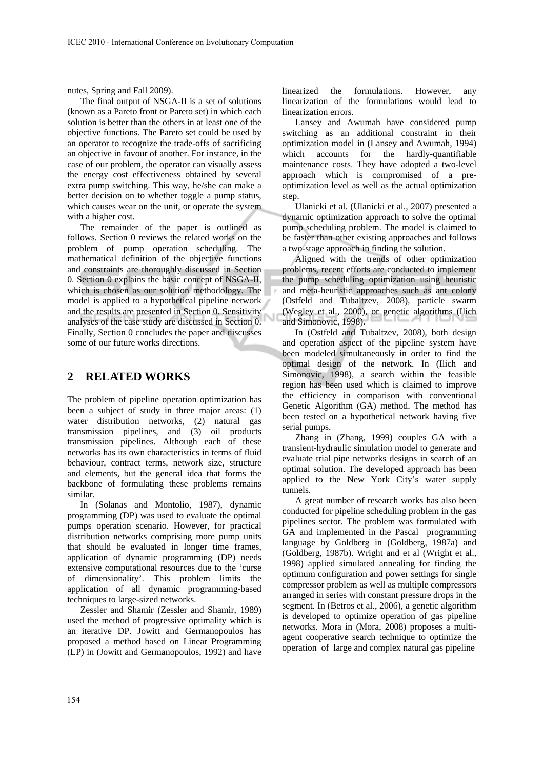nutes, Spring and Fall 2009).

The final output of NSGA-II is a set of solutions (known as a Pareto front or Pareto set) in which each solution is better than the others in at least one of the objective functions. The Pareto set could be used by an operator to recognize the trade-offs of sacrificing an objective in favour of another. For instance, in the case of our problem, the operator can visually assess the energy cost effectiveness obtained by several extra pump switching. This way, he/she can make a better decision on to whether toggle a pump status, which causes wear on the unit, or operate the system with a higher cost.

The remainder of the paper is outlined as follows. Section 0 reviews the related works on the problem of pump operation scheduling. The mathematical definition of the objective functions and constraints are thoroughly discussed in Section 0. Section 0 explains the basic concept of NSGA-II, which is chosen as our solution methodology. The model is applied to a hypothetical pipeline network and the results are presented in Section 0. Sensitivity analyses of the case study are discussed in Section 0. Finally, Section 0 concludes the paper and discusses some of our future works directions.

## **2 RELATED WORKS**

The problem of pipeline operation optimization has been a subject of study in three major areas: (1) water distribution networks, (2) natural gas transmission pipelines, and (3) oil products transmission pipelines. Although each of these networks has its own characteristics in terms of fluid behaviour, contract terms, network size, structure and elements, but the general idea that forms the backbone of formulating these problems remains similar.

In (Solanas and Montolio, 1987), dynamic programming (DP) was used to evaluate the optimal pumps operation scenario. However, for practical distribution networks comprising more pump units that should be evaluated in longer time frames, application of dynamic programming (DP) needs extensive computational resources due to the 'curse of dimensionality'. This problem limits the application of all dynamic programming-based techniques to large-sized networks.

Zessler and Shamir (Zessler and Shamir, 1989) used the method of progressive optimality which is an iterative DP. Jowitt and Germanopoulos has proposed a method based on Linear Programming (LP) in (Jowitt and Germanopoulos, 1992) and have

linearized the formulations. However, any linearization of the formulations would lead to linearization errors.

Lansey and Awumah have considered pump switching as an additional constraint in their optimization model in (Lansey and Awumah, 1994) which accounts for the hardly-quantifiable maintenance costs. They have adopted a two-level approach which is compromised of a preoptimization level as well as the actual optimization step.

Ulanicki et al. (Ulanicki et al., 2007) presented a dynamic optimization approach to solve the optimal pump scheduling problem. The model is claimed to be faster than other existing approaches and follows a two-stage approach in finding the solution.

Aligned with the trends of other optimization problems, recent efforts are conducted to implement the pump scheduling optimization using heuristic and meta-heuristic approaches such as ant colony (Ostfeld and Tubaltzev, 2008), particle swarm (Wegley et al., 2000), or genetic algorithms (Ilich and Simonovic, 1998).

In (Ostfeld and Tubaltzev, 2008), both design and operation aspect of the pipeline system have been modeled simultaneously in order to find the optimal design of the network. In (Ilich and Simonovic, 1998), a search within the feasible region has been used which is claimed to improve the efficiency in comparison with conventional Genetic Algorithm (GA) method. The method has been tested on a hypothetical network having five serial pumps.

Zhang in (Zhang, 1999) couples GA with a transient-hydraulic simulation model to generate and evaluate trial pipe networks designs in search of an optimal solution. The developed approach has been applied to the New York City's water supply tunnels.

A great number of research works has also been conducted for pipeline scheduling problem in the gas pipelines sector. The problem was formulated with GA and implemented in the Pascal programming language by Goldberg in (Goldberg, 1987a) and (Goldberg, 1987b). Wright and et al (Wright et al., 1998) applied simulated annealing for finding the optimum configuration and power settings for single compressor problem as well as multiple compressors arranged in series with constant pressure drops in the segment. In (Betros et al., 2006), a genetic algorithm is developed to optimize operation of gas pipeline networks. Mora in (Mora, 2008) proposes a multiagent cooperative search technique to optimize the operation of large and complex natural gas pipeline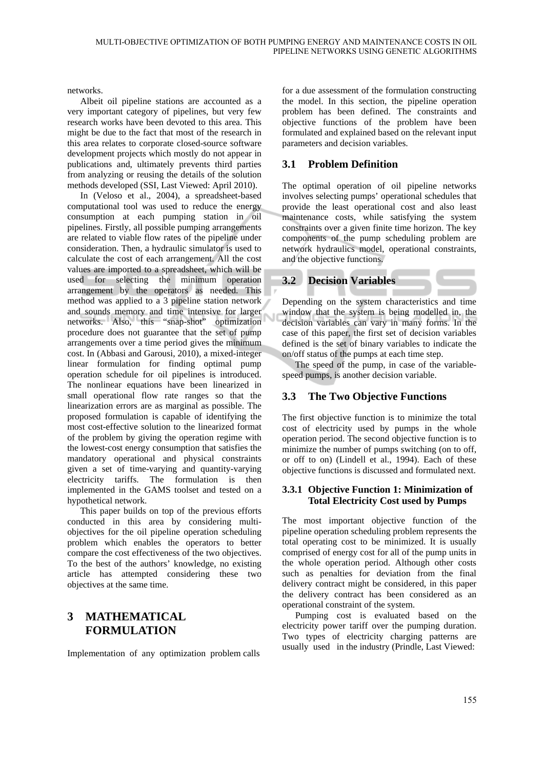networks.

Albeit oil pipeline stations are accounted as a very important category of pipelines, but very few research works have been devoted to this area. This might be due to the fact that most of the research in this area relates to corporate closed-source software development projects which mostly do not appear in publications and, ultimately prevents third parties from analyzing or reusing the details of the solution methods developed (SSI, Last Viewed: April 2010).

In (Veloso et al., 2004), a spreadsheet-based computational tool was used to reduce the energy consumption at each pumping station in oil pipelines. Firstly, all possible pumping arrangements are related to viable flow rates of the pipeline under consideration. Then, a hydraulic simulator is used to calculate the cost of each arrangement. All the cost values are imported to a spreadsheet, which will be used for selecting the minimum operation arrangement by the operators as needed. This method was applied to a 3 pipeline station network and sounds memory and time intensive for larger networks. Also, this "snap-shot" optimization procedure does not guarantee that the set of pump arrangements over a time period gives the minimum cost. In (Abbasi and Garousi, 2010), a mixed-integer linear formulation for finding optimal pump operation schedule for oil pipelines is introduced. The nonlinear equations have been linearized in small operational flow rate ranges so that the linearization errors are as marginal as possible. The proposed formulation is capable of identifying the most cost-effective solution to the linearized format of the problem by giving the operation regime with the lowest-cost energy consumption that satisfies the mandatory operational and physical constraints given a set of time-varying and quantity-varying electricity tariffs. The formulation is then implemented in the GAMS toolset and tested on a hypothetical network.

This paper builds on top of the previous efforts conducted in this area by considering multiobjectives for the oil pipeline operation scheduling problem which enables the operators to better compare the cost effectiveness of the two objectives. To the best of the authors' knowledge, no existing article has attempted considering these two objectives at the same time.

## **3 MATHEMATICAL FORMULATION**

Implementation of any optimization problem calls

for a due assessment of the formulation constructing the model. In this section, the pipeline operation problem has been defined. The constraints and objective functions of the problem have been formulated and explained based on the relevant input parameters and decision variables.

## **3.1 Problem Definition**

The optimal operation of oil pipeline networks involves selecting pumps' operational schedules that provide the least operational cost and also least maintenance costs, while satisfying the system constraints over a given finite time horizon. The key components of the pump scheduling problem are network hydraulics model, operational constraints, and the objective functions.

## **3.2 Decision Variables**

Depending on the system characteristics and time window that the system is being modelled in, the decision variables can vary in many forms. In the case of this paper, the first set of decision variables defined is the set of binary variables to indicate the on/off status of the pumps at each time step.

The speed of the pump, in case of the variablespeed pumps, is another decision variable.

## **3.3 The Two Objective Functions**

The first objective function is to minimize the total cost of electricity used by pumps in the whole operation period. The second objective function is to minimize the number of pumps switching (on to off, or off to on) (Lindell et al., 1994). Each of these objective functions is discussed and formulated next.

### **3.3.1 Objective Function 1: Minimization of Total Electricity Cost used by Pumps**

The most important objective function of the pipeline operation scheduling problem represents the total operating cost to be minimized. It is usually comprised of energy cost for all of the pump units in the whole operation period. Although other costs such as penalties for deviation from the final delivery contract might be considered, in this paper the delivery contract has been considered as an operational constraint of the system.

Pumping cost is evaluated based on the electricity power tariff over the pumping duration. Two types of electricity charging patterns are usually used in the industry (Prindle, Last Viewed: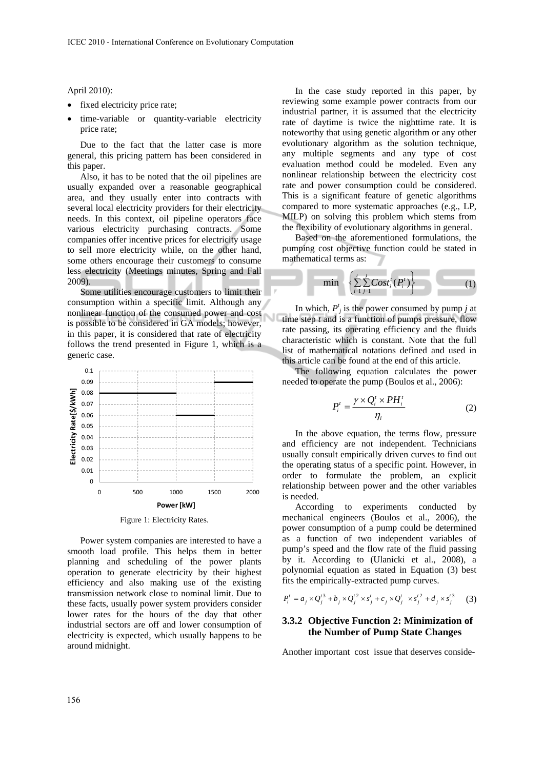#### April 2010):

- fixed electricity price rate;
- time-variable or quantity-variable electricity price rate;

Due to the fact that the latter case is more general, this pricing pattern has been considered in this paper.

Also, it has to be noted that the oil pipelines are usually expanded over a reasonable geographical area, and they usually enter into contracts with several local electricity providers for their electricity needs. In this context, oil pipeline operators face various electricity purchasing contracts. Some companies offer incentive prices for electricity usage to sell more electricity while, on the other hand, some others encourage their customers to consume less electricity (Meetings minutes, Spring and Fall 2009).

Some utilities encourage customers to limit their consumption within a specific limit. Although any nonlinear function of the consumed power and cost is possible to be considered in GA models; however, in this paper, it is considered that rate of electricity follows the trend presented in Figure 1, which is a generic case.



Figure 1: Electricity Rates.

Power system companies are interested to have a smooth load profile. This helps them in better planning and scheduling of the power plants operation to generate electricity by their highest efficiency and also making use of the existing transmission network close to nominal limit. Due to these facts, usually power system providers consider lower rates for the hours of the day that other industrial sectors are off and lower consumption of electricity is expected, which usually happens to be around midnight.

In the case study reported in this paper, by reviewing some example power contracts from our industrial partner, it is assumed that the electricity rate of daytime is twice the nighttime rate. It is noteworthy that using genetic algorithm or any other evolutionary algorithm as the solution technique, any multiple segments and any type of cost evaluation method could be modeled. Even any nonlinear relationship between the electricity cost rate and power consumption could be considered. This is a significant feature of genetic algorithms compared to more systematic approaches (e.g., LP, MILP) on solving this problem which stems from the flexibility of evolutionary algorithms in general.

Based on the aforementioned formulations, the pumping cost objective function could be stated in mathematical terms as:

$$
\min \left\{ \sum_{i=1}^{t} \sum_{j=1}^{J} Cost_i^t(P_i^t) \right\} \tag{1}
$$

In which,  $P_j^t$  is the power consumed by pump *j* at time step *t* and is a function of pumps pressure, flow rate passing, its operating efficiency and the fluids characteristic which is constant. Note that the full list of mathematical notations defined and used in this article can be found at the end of this article.

The following equation calculates the power needed to operate the pump (Boulos et al., 2006):

$$
P_i' = \frac{\gamma \times Q_i' \times PH_i'}{\eta_i} \tag{2}
$$

In the above equation, the terms flow, pressure and efficiency are not independent. Technicians usually consult empirically driven curves to find out the operating status of a specific point. However, in order to formulate the problem, an explicit relationship between power and the other variables is needed.

According to experiments conducted by mechanical engineers (Boulos et al., 2006), the power consumption of a pump could be determined as a function of two independent variables of pump's speed and the flow rate of the fluid passing by it. According to (Ulanicki et al., 2008), a polynomial equation as stated in Equation (3) best fits the empirically-extracted pump curves.

$$
P_i^t = a_j \times Q_j^{t3} + b_j \times Q_j^{t2} \times s_j^t + c_j \times Q_j^t \times s_j^{t2} + d_j \times s_j^{t3} \tag{3}
$$

#### **3.3.2 Objective Function 2: Minimization of the Number of Pump State Changes**

Another important cost issue that deserves conside-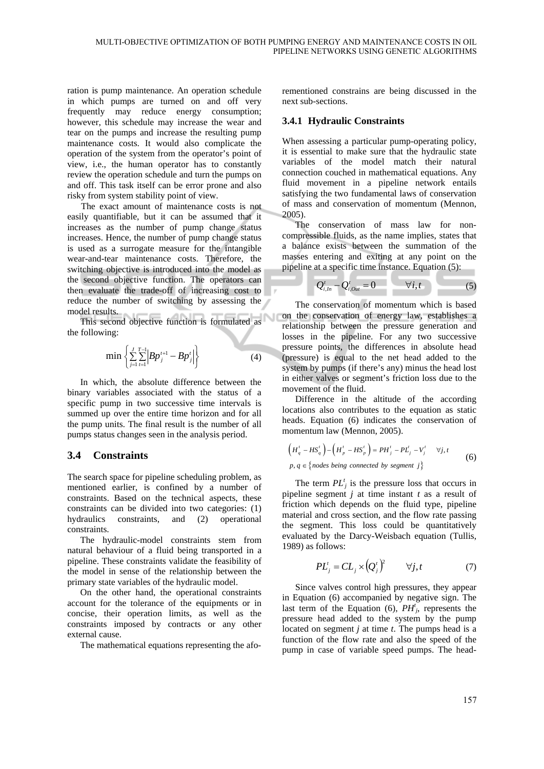ration is pump maintenance. An operation schedule in which pumps are turned on and off very frequently may reduce energy consumption; however, this schedule may increase the wear and tear on the pumps and increase the resulting pump maintenance costs. It would also complicate the operation of the system from the operator's point of view, i.e., the human operator has to constantly review the operation schedule and turn the pumps on and off. This task itself can be error prone and also risky from system stability point of view.

The exact amount of maintenance costs is not easily quantifiable, but it can be assumed that it increases as the number of pump change status increases. Hence, the number of pump change status is used as a surrogate measure for the intangible wear-and-tear maintenance costs. Therefore, the switching objective is introduced into the model as the second objective function. The operators can then evaluate the trade-off of increasing cost to reduce the number of switching by assessing the model results.

This second objective function is formulated as the following:

$$
\min \left\{ \sum_{j=1}^{J} \sum_{t=1}^{T-1} \left| B p_j^{t+1} - B p_j^{t} \right| \right\} \tag{4}
$$

In which, the absolute difference between the binary variables associated with the status of a specific pump in two successive time intervals is summed up over the entire time horizon and for all the pump units. The final result is the number of all pumps status changes seen in the analysis period.

## **3.4 Constraints**

The search space for pipeline scheduling problem, as mentioned earlier, is confined by a number of constraints. Based on the technical aspects, these constraints can be divided into two categories: (1) hydraulics constraints, and (2) operational constraints.

The hydraulic-model constraints stem from natural behaviour of a fluid being transported in a pipeline. These constraints validate the feasibility of the model in sense of the relationship between the primary state variables of the hydraulic model.

On the other hand, the operational constraints account for the tolerance of the equipments or in concise, their operation limits, as well as the constraints imposed by contracts or any other external cause.

The mathematical equations representing the afo-

rementioned constrains are being discussed in the next sub-sections.

#### **3.4.1 Hydraulic Constraints**

When assessing a particular pump-operating policy, it is essential to make sure that the hydraulic state variables of the model match their natural connection couched in mathematical equations. Any fluid movement in a pipeline network entails satisfying the two fundamental laws of conservation of mass and conservation of momentum (Mennon, 2005).

The conservation of mass law for noncompressible fluids, as the name implies, states that a balance exists between the summation of the masses entering and exiting at any point on the pipeline at a specific time instance. Equation (5):

$$
Q'_{i,h} - Q'_{i,out} = 0 \qquad \forall i,t \qquad (5)
$$

The conservation of momentum which is based on the conservation of energy law, establishes a relationship between the pressure generation and losses in the pipeline. For any two successive pressure points, the differences in absolute head (pressure) is equal to the net head added to the system by pumps (if there's any) minus the head lost in either valves or segment's friction loss due to the movement of the fluid.

Difference in the altitude of the according locations also contributes to the equation as static heads. Equation (6) indicates the conservation of momentum law (Mennon, 2005).

$$
\left(H_q^t - HS_q^t\right) - \left(H_p^t - HS_p^t\right) = PH_j^t - PL_j^t - V_j^t \quad \forall j, t
$$
\n
$$
p, q \in \{nodes being connected by segment j\}
$$
\n(6)

The term  $PL_j^t$  is the pressure loss that occurs in pipeline segment *j* at time instant *t* as a result of friction which depends on the fluid type, pipeline material and cross section, and the flow rate passing the segment. This loss could be quantitatively evaluated by the Darcy-Weisbach equation (Tullis, 1989) as follows:

$$
PL_j^t = CL_j \times (Q_j^t)^2 \qquad \forall j, t \tag{7}
$$

Since valves control high pressures, they appear in Equation (6) accompanied by negative sign. The last term of the Equation  $(6)$ ,  $PH'$ <sub>*j*</sub>, represents the pressure head added to the system by the pump located on segment *j* at time *t*. The pumps head is a function of the flow rate and also the speed of the pump in case of variable speed pumps. The head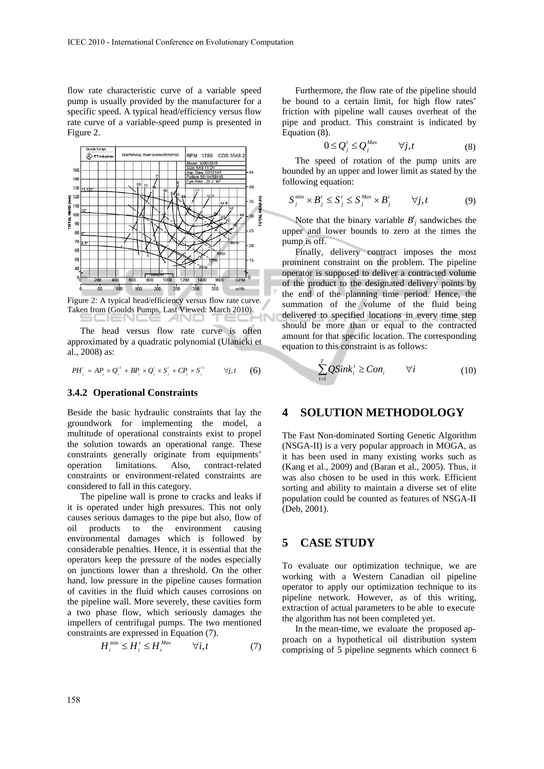flow rate characteristic curve of a variable speed pump is usually provided by the manufacturer for a specific speed. A typical head/efficiency versus flow rate curve of a variable-speed pump is presented in Figure 2.



Figure 2: A typical head/efficiency versus flow rate curve. Taken from (Goulds Pumps, Last Viewed: March 2010).

The head versus flow rate curve is often approximated by a quadratic polynomial (Ulanicki et al., 2008) as:

$$
PH'_{j} = AP_{j} \times Q_{j}^{\prime 2} + BP_{j} \times Q_{j}^{\prime} \times S_{j}^{\prime} + CP_{j} \times S_{j}^{\prime 2} \qquad \forall j, t \qquad (6)
$$

#### **3.4.2 Operational Constraints**

Beside the basic hydraulic constraints that lay the groundwork for implementing the model, a multitude of operational constraints exist to propel the solution towards an operational range. These constraints generally originate from equipments' operation limitations. Also, contract-related constraints or environment-related constraints are considered to fall in this category.

The pipeline wall is prone to cracks and leaks if it is operated under high pressures. This not only causes serious damages to the pipe but also, flow of oil products to the environment causing environmental damages which is followed by considerable penalties. Hence, it is essential that the operators keep the pressure of the nodes especially on junctions lower than a threshold. On the other hand, low pressure in the pipeline causes formation of cavities in the fluid which causes corrosions on the pipeline wall. More severely, these cavities form a two phase flow, which seriously damages the impellers of centrifugal pumps. The two mentioned constraints are expressed in Equation (7).

$$
H_i^{\min} \le H_i^t \le H_i^{Max} \qquad \forall i, t \tag{7}
$$

Furthermore, the flow rate of the pipeline should be bound to a certain limit, for high flow rates' friction with pipeline wall causes overheat of the pipe and product. This constraint is indicated by Equation (8).

$$
0 \le Q_j^t \le Q_j^{Max} \qquad \forall j, t \tag{8}
$$

The speed of rotation of the pump units are bounded by an upper and lower limit as stated by the following equation:

$$
S_j^{\min} \times B_j^t \le S_j^t \le S_j^{Max} \times B_j^t \qquad \forall j, t \tag{9}
$$

Note that the binary variable  $B^t_j$  sandwiches the upper and lower bounds to zero at the times the pump is off.

Finally, delivery contract imposes the most prominent constraint on the problem. The pipeline operator is supposed to deliver a contracted volume of the product to the designated delivery points by the end of the planning time period. Hence, the summation of the volume of the fluid being delivered to specified locations in every time step should be more than or equal to the contracted amount for that specific location. The corresponding equation to this constraint is as follows:

$$
\sum_{i=1}^{T} QSink_i^t \ge Con_i \qquad \forall i \tag{10}
$$

### **4 SOLUTION METHODOLOGY**

The Fast Non-dominated Sorting Genetic Algorithm (NSGA-II) is a very popular approach in MOGA, as it has been used in many existing works such as (Kang et al., 2009) and (Baran et al., 2005). Thus, it was also chosen to be used in this work. Efficient sorting and ability to maintain a diverse set of elite population could be counted as features of NSGA-II (Deb, 2001).

## **5 CASE STUDY**

To evaluate our optimization technique, we are working with a Western Canadian oil pipeline operator to apply our optimization technique to its pipeline network. However, as of this writing, extraction of actual parameters to be able to execute the algorithm has not been completed yet.

In the mean-time, we evaluate the proposed approach on a hypothetical oil distribution system comprising of 5 pipeline segments which connect 6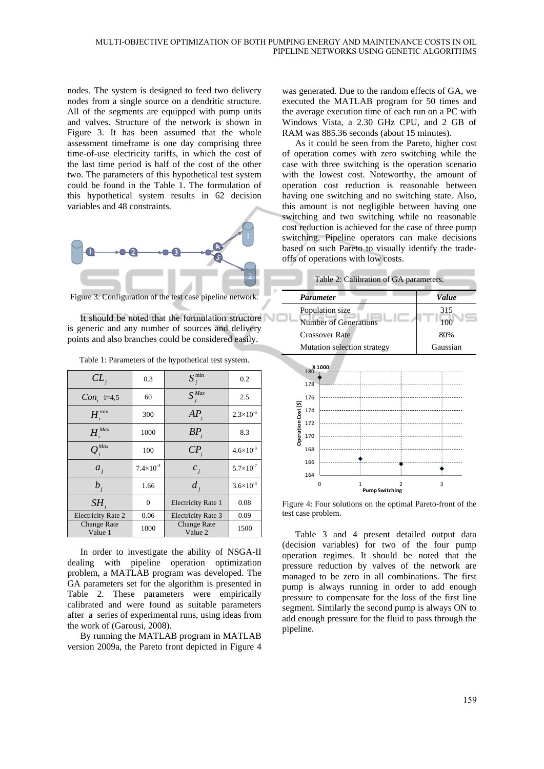nodes. The system is designed to feed two delivery nodes from a single source on a dendritic structure. All of the segments are equipped with pump units and valves. Structure of the network is shown in Figure 3. It has been assumed that the whole assessment timeframe is one day comprising three time-of-use electricity tariffs, in which the cost of the last time period is half of the cost of the other two. The parameters of this hypothetical test system could be found in the Table 1. The formulation of this hypothetical system results in 62 decision variables and 48 constraints.



Figure 3: Configuration of the test case pipeline network.

It should be noted that the formulation structure is generic and any number of sources and delivery points and also branches could be considered easily.

| Table 1: Parameters of the hypothetical test system. |  |  |
|------------------------------------------------------|--|--|
|------------------------------------------------------|--|--|

| $CL_{i}$                      | 0.3                | $S_i^{\min}$                  | 0.2                  |
|-------------------------------|--------------------|-------------------------------|----------------------|
| $Con_i$ i=4,5                 | 60                 | $S_i^{Max}$                   | 2.5                  |
| $H^{\min}$                    | 300                | AP.                           | $2.3\times10^{-6}$   |
| H <sub>i</sub> <sup>Max</sup> | 1000               | BP                            | 8.3                  |
| $Q_i^{Max}$                   | 100                | $\overline{CP}_{i}$           | $4.6\times10^{-3}$   |
| $a_i$                         | $7.4\times10^{-3}$ | $c_i$                         | $5.7\times10^{-7}$   |
| $b_i$                         | 1.66               | $d_i$                         | $3.6 \times 10^{-3}$ |
| SH <sub>i</sub>               | $\Omega$           | <b>Electricity Rate 1</b>     | 0.08                 |
| Electricity Rate 2            | 0.06               | <b>Electricity Rate 3</b>     | 0.09                 |
| <b>Change Rate</b><br>Value 1 | 1000               | <b>Change Rate</b><br>Value 2 | 1500                 |

In order to investigate the ability of NSGA-II dealing with pipeline operation optimization problem, a MATLAB program was developed. The GA parameters set for the algorithm is presented in Table 2. These parameters were empirically calibrated and were found as suitable parameters after a series of experimental runs, using ideas from the work of (Garousi, 2008).

By running the MATLAB program in MATLAB version 2009a, the Pareto front depicted in Figure 4

was generated. Due to the random effects of GA, we executed the MATLAB program for 50 times and the average execution time of each run on a PC with Windows Vista, a 2.30 GHz CPU, and 2 GB of RAM was 885.36 seconds (about 15 minutes).

As it could be seen from the Pareto, higher cost of operation comes with zero switching while the case with three switching is the operation scenario with the lowest cost. Noteworthy, the amount of operation cost reduction is reasonable between having one switching and no switching state. Also, this amount is not negligible between having one switching and two switching while no reasonable cost reduction is achieved for the case of three pump switching. Pipeline operators can make decisions based on such Pareto to visually identify the tradeoffs of operations with low costs.

| Table 2: Calibration of GA parameters. |              |
|----------------------------------------|--------------|
| Parameter                              | <b>Value</b> |



Figure 4: Four solutions on the optimal Pareto-front of the test case problem.

Table 3 and 4 present detailed output data (decision variables) for two of the four pump operation regimes. It should be noted that the pressure reduction by valves of the network are managed to be zero in all combinations. The first pump is always running in order to add enough pressure to compensate for the loss of the first line segment. Similarly the second pump is always ON to add enough pressure for the fluid to pass through the pipeline.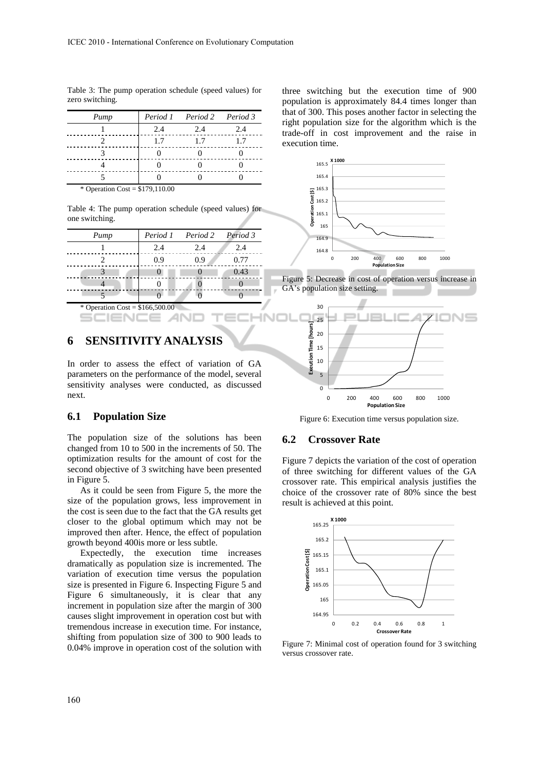Table 3: The pump operation schedule (speed values) for zero switching.

| Pump                             |     | Period 1 Period 2 Period 3 |     |
|----------------------------------|-----|----------------------------|-----|
|                                  | 2.4 | 2.4                        | 2.4 |
|                                  | 1.7 | 1.7                        | 1.7 |
|                                  |     |                            |     |
|                                  |     |                            |     |
|                                  |     |                            |     |
| * Operation Cost = $$179,110.00$ |     |                            |     |

Table 4: The pump operation schedule (speed values) for one switching.

| Pump |     | Period 1 Period 2 Period 3 |      |
|------|-----|----------------------------|------|
|      | 2.4 | 2.4                        | 2.4  |
|      | 0.9 | 0.9                        | 0.77 |
|      |     |                            | 0.43 |
|      |     |                            |      |
|      |     |                            |      |

Operation Cost =  $$166,500.00$ SCIENCE **AN** 

## **6 SENSITIVITY ANALYSIS**

In order to assess the effect of variation of GA parameters on the performance of the model, several sensitivity analyses were conducted, as discussed next.

### **6.1 Population Size**

The population size of the solutions has been changed from 10 to 500 in the increments of 50. The optimization results for the amount of cost for the second objective of 3 switching have been presented in Figure 5.

As it could be seen from Figure 5, the more the size of the population grows, less improvement in the cost is seen due to the fact that the GA results get closer to the global optimum which may not be improved then after. Hence, the effect of population growth beyond 400is more or less subtle.

Expectedly, the execution time increases dramatically as population size is incremented. The variation of execution time versus the population size is presented in Figure 6. Inspecting Figure 5 and Figure 6 simultaneously, it is clear that any increment in population size after the margin of 300 causes slight improvement in operation cost but with tremendous increase in execution time. For instance, shifting from population size of 300 to 900 leads to 0.04% improve in operation cost of the solution with

three switching but the execution time of 900 population is approximately 84.4 times longer than that of 300. This poses another factor in selecting the right population size for the algorithm which is the trade-off in cost improvement and the raise in execution time.



0 200 400 600 800 1000 **Population Size**

#### Figure 6: Execution time versus population size.

#### **6.2 Crossover Rate**

Figure 7 depicts the variation of the cost of operation of three switching for different values of the GA crossover rate. This empirical analysis justifies the choice of the crossover rate of 80% since the best result is achieved at this point.



Figure 7: Minimal cost of operation found for 3 switching versus crossover rate.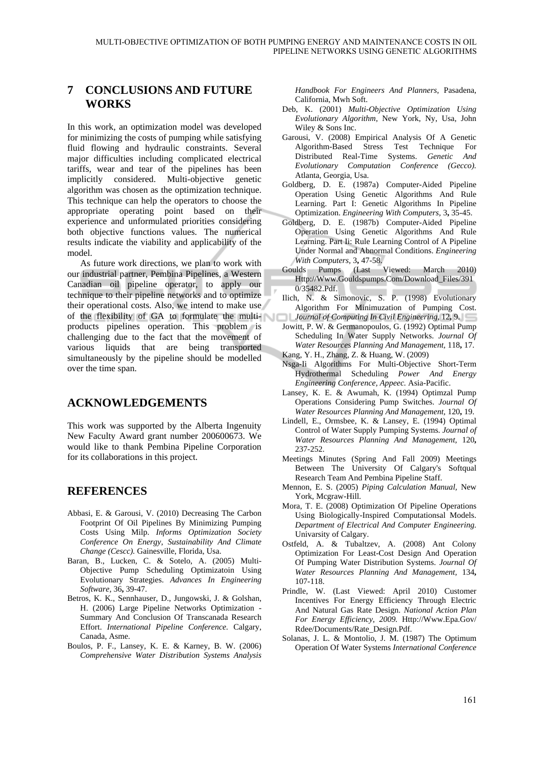## **7 CONCLUSIONS AND FUTURE WORKS**

In this work, an optimization model was developed for minimizing the costs of pumping while satisfying fluid flowing and hydraulic constraints. Several major difficulties including complicated electrical tariffs, wear and tear of the pipelines has been implicitly considered. Multi-objective genetic algorithm was chosen as the optimization technique. This technique can help the operators to choose the appropriate operating point based on their experience and unformulated priorities considering both objective functions values. The numerical results indicate the viability and applicability of the model.

As future work directions, we plan to work with our industrial partner, Pembina Pipelines, a Western Canadian oil pipeline operator, to apply our technique to their pipeline networks and to optimize their operational costs. Also, we intend to make use of the flexibility of GA to formulate the multiproducts pipelines operation. This problem is challenging due to the fact that the movement of various liquids that are being transported simultaneously by the pipeline should be modelled over the time span.

## **ACKNOWLEDGEMENTS**

This work was supported by the Alberta Ingenuity New Faculty Award grant number 200600673. We would like to thank Pembina Pipeline Corporation for its collaborations in this project.

## **REFERENCES**

- Abbasi, E. & Garousi, V. (2010) Decreasing The Carbon Footprint Of Oil Pipelines By Minimizing Pumping Costs Using Milp. *Informs Optimization Society Conference On Energy, Sustainability And Climate Change (Cescc).* Gainesville, Florida, Usa.
- Baran, B., Lucken, C. & Sotelo, A. (2005) Multi-Objective Pump Scheduling Optimizatoin Using Evolutionary Strategies. *Advances In Engineering Software,* 36**,** 39-47.
- Betros, K. K., Sennhauser, D., Jungowski, J. & Golshan, H. (2006) Large Pipeline Networks Optimization - Summary And Conclusion Of Transcanada Research Effort. *International Pipeline Conference.* Calgary, Canada, Asme.
- Boulos, P. F., Lansey, K. E. & Karney, B. W. (2006) *Comprehensive Water Distribution Systems Analysis*

*Handbook For Engineers And Planners,* Pasadena, California, Mwh Soft.

- Deb, K. (2001) *Multi-Objective Optimization Using Evolutionary Algorithm,* New York, Ny, Usa, John Wiley & Sons Inc.
- Garousi, V. (2008) Empirical Analysis Of A Genetic Algorithm-Based Stress Test Technique For Distributed Real-Time Systems. *Genetic And Evolutionary Computation Conference (Gecco).*  Atlanta, Georgia, Usa.
- Goldberg, D. E. (1987a) Computer-Aided Pipeline Operation Using Genetic Algorithms And Rule Learning. Part I: Genetic Algorithms In Pipeline Optimization. *Engineering With Computers,* 3**,** 35-45.
- Goldberg, D. E. (1987b) Computer-Aided Pipeline Operation Using Genetic Algorithms And Rule Learning. Part Ii: Rule Learning Control of A Pipeline Under Normal and Abnormal Conditions. *Engineering With Computers,* 3**,** 47-58.
- Goulds Pumps (Last Viewed: March 2010) Http://Www.Gouldspumps.Com/Download\_Files/391 0/35482.Pdf.
- Ilich, N. & Simonovic, S. P. (1998) Evolutionary Algorithm For Minimuzation of Pumping Cost. *Journal of Computing In Civil Engineering,* 12**,** 9.
- Jowitt, P. W. & Germanopoulos, G. (1992) Optimal Pump Scheduling In Water Supply Networks. *Journal Of Water Resources Planning And Management,* 118**,** 17.
- Kang, Y. H., Zhang, Z. & Huang, W. (2009)
- Nsga-Ii Algorithms For Multi-Objective Short-Term Hydrothermal Scheduling *Power And Energy Engineering Conference, Appeec.* Asia-Pacific.
- Lansey, K. E. & Awumah, K. (1994) Optimzal Pump Operations Considering Pump Switches. *Journal Of Water Resources Planning And Management,* 120**,** 19.
- Lindell, E., Ormsbee, K. & Lansey, E. (1994) Optimal Control of Water Supply Pumping Systems. *Journal of Water Resources Planning And Management,* 120**,** 237-252.
- Meetings Minutes (Spring And Fall 2009) Meetings Between The University Of Calgary's Softqual Research Team And Pembina Pipeline Staff.
- Mennon, E. S. (2005) *Piping Calculation Manual,* New York, Mcgraw-Hill.
- Mora, T. E. (2008) Optimization Of Pipeline Operations Using Biologically-Inspired Computationsal Models. *Department of Electrical And Computer Engineering.* Univarsity of Calgary.
- Ostfeld, A. & Tubaltzev, A. (2008) Ant Colony Optimization For Least-Cost Design And Operation Of Pumping Water Distribution Systems. *Journal Of Water Resources Planning And Management,* 134**,** 107-118.
- Prindle, W. (Last Viewed: April 2010) Customer Incentives For Energy Efficiency Through Electric And Natural Gas Rate Design. *National Action Plan For Energy Efficiency, 2009.* Http://Www.Epa.Gov/ Rdee/Documents/Rate\_Design.Pdf.
- Solanas, J. L. & Montolio, J. M. (1987) The Optimum Operation Of Water Systems *International Conference*